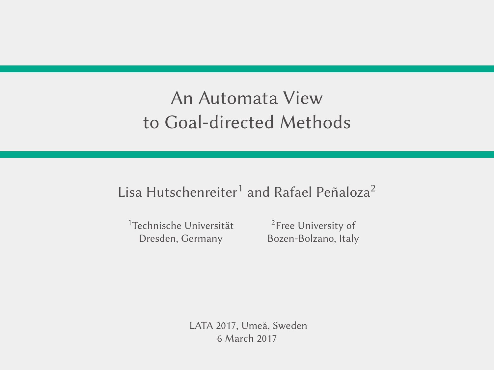## An Automata View to Goal-directed Methods

### Lisa Hutschenreiter<sup>1</sup> and Rafael Peñaloza<sup>2</sup>

<sup>1</sup>Technische Universität Dresden, Germany

<sup>2</sup>Free University of Bozen-Bolzano, Italy

LATA 2017, Umeå, Sweden 6 March 2017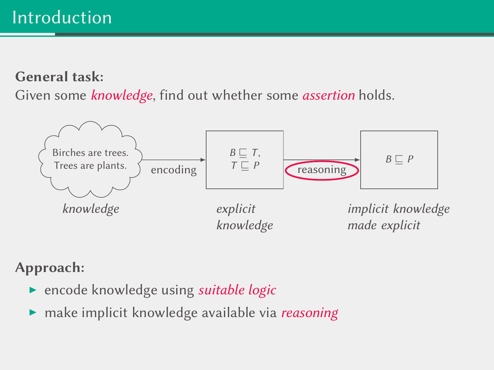#### General task:

Given some knowledge, find out whether some assertion holds.



#### Approach:

- **P** encode knowledge using *suitable logic*
- make implicit knowledge available via reasoning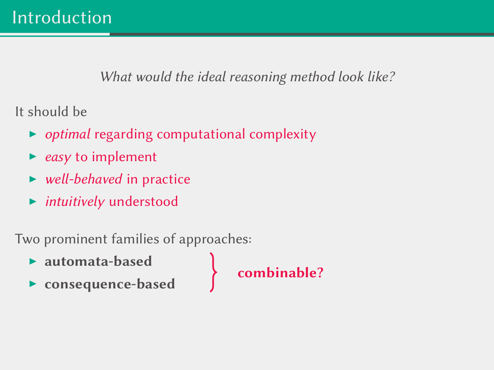What would the ideal reasoning method look like?

It should be

- $\rightarrow$  optimal regarding computational complexity
- $\triangleright$  easy to implement
- well-behaved in practice
- $\blacktriangleright$  intuitively understood

Two prominent families of approaches:

- $\blacktriangleright$  automata-based
- consequence-based

combinable?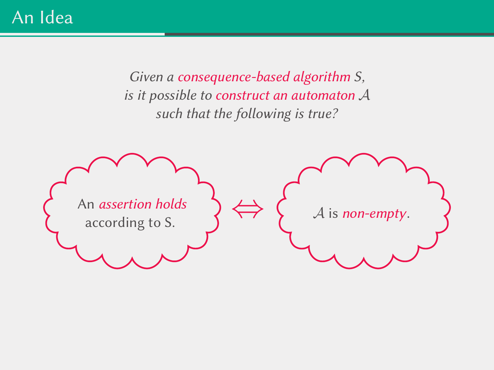An Idea

Given a consequence-based algorithm S, is it possible to construct an automaton A such that the following is true?

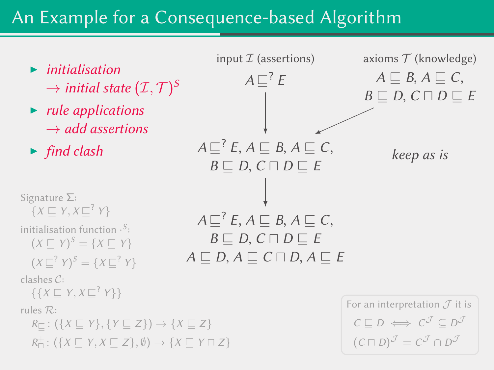### An Example for a Consequence-based Algorithm

- $\blacktriangleright$  initialisation  $\rightarrow$  initial state  $(\mathcal{I},\mathcal{T})^S$
- $\blacktriangleright$  rule applications  $\rightarrow$  add assertions
- 

```
Signature Σ:
 \{X \sqsubseteq Y, X \sqsubseteq^? Y\}initialisation function \cdot^{S}:
 (X \sqsubseteq Y)^S = \{X \sqsubseteq Y\}(X \sqsubseteq^? Y)^S = \{ X \sqsubseteq^? Y \}clashes C:
 \{\{X \sqsubseteq Y, X \sqsubseteq^? Y\}\}\rules R:
R_{\square}: (\{X \sqsubseteq Y\}, \{Y \sqsubseteq Z\}) \rightarrow \{X \sqsubseteq Z\}R_{\square}^{+}: (\{X \sqsubseteq Y, X \sqsubseteq Z\}, \emptyset) \rightarrow \{X \sqsubseteq Y \sqcap Z\}
```


```
For an interpretation \mathcal J it is
C \sqsubseteq D \iff C^{\mathcal{J}} \subseteq D^{\mathcal{J}}(C \sqcap D)^{\mathcal{J}} = C^{\mathcal{J}} \cap D^{\mathcal{J}}
```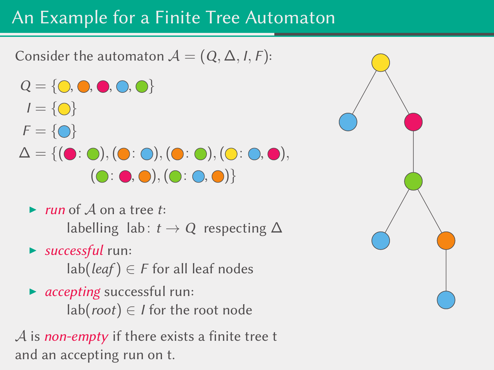## An Example for a Finite Tree Automaton

Consider the automaton  $A = (Q, \Delta, I, F)$ :

- $Q = \{ \bigcirc, \bigcirc, \bigcirc, \bigcirc, \bigcirc \}$  $I = \{ \bigcirc \}$  $F = \{ \bigcirc \}$  $\Delta = \{(\bullet \colon \bullet), (\bullet \colon \bullet), (\bullet \colon \bullet), (\bullet \colon \bullet),$  $( \bigcirc : \bigcirc, \bigcirc), (\bigcirc : \bigcirc, \bigcirc) \}$ 
	- In run of  $A$  on a tree t: labelling lab:  $t \rightarrow Q$  respecting  $\Delta$
	- $\blacktriangleright$  successful run:
		- $lab(leaf) \in F$  for all leaf nodes
	- $\triangleright$  accepting successful run:  $lab(root) \in I$  for the root node

 $\mathcal A$  is non-empty if there exists a finite tree t and an accepting run on t.

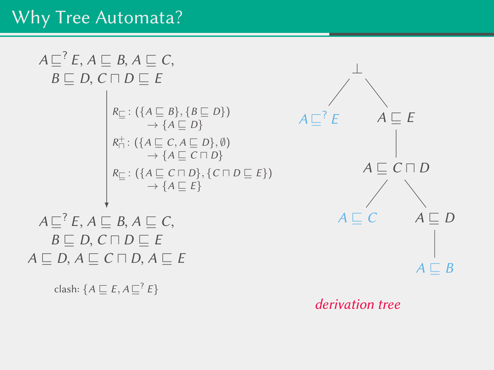# Why Tree Automata?

$$
A \sqsubseteq^{?} E, A \sqsubseteq B, A \sqsubseteq C,
$$
  
\n
$$
B \sqsubseteq D, C \sqcap D \sqsubseteq E
$$
  
\n
$$
\downarrow R_{\sqsubseteq} : (\lbrace A \sqsubseteq B \rbrace, \lbrace B \sqsubseteq D \rbrace) \qquad A \sqsubseteq^{?} E \qquad A \sqsubseteq E
$$
  
\n
$$
\downarrow R_{\sqcap}^{\perp} : (\lbrace A \sqsubseteq C, A \sqsubseteq D \rbrace, \emptyset) \qquad A \sqsubseteq^{?} E \qquad A \sqsubseteq E
$$
  
\n
$$
\downarrow R_{\sqsubseteq} : (\lbrace A \sqsubseteq C \sqcap D \rbrace, \lbrace C \sqcap D \sqsubseteq E \rbrace) \qquad A \sqsubseteq C \sqcap D
$$
  
\n
$$
\downarrow R_{\sqsubseteq} : (\lbrace A \sqsubseteq C \sqcap D \rbrace, \lbrace C \sqcap D \sqsubseteq E \rbrace) \qquad A \sqsubseteq C \sqcap D
$$
  
\n
$$
\downarrow R \sqsubseteq f, A \sqsubseteq B, A \sqsubseteq C, \qquad A \sqsubseteq C
$$
  
\n
$$
B \sqsubseteq D, C \sqcap D \sqsubseteq E \qquad \qquad A \sqsubseteq C
$$
  
\n
$$
A \sqsubseteq D, A \sqsubseteq C \sqcap D, A \sqsubseteq E
$$
  
\n
$$
\downarrow R \sqsubseteq B, A \sqsubseteq C, A \sqsubseteq B
$$
  
\n
$$
\downarrow R \sqsubseteq B, A \sqsubseteq C, A \sqsubseteq B
$$
  
\n
$$
\downarrow R \sqsubseteq B
$$

derivation tree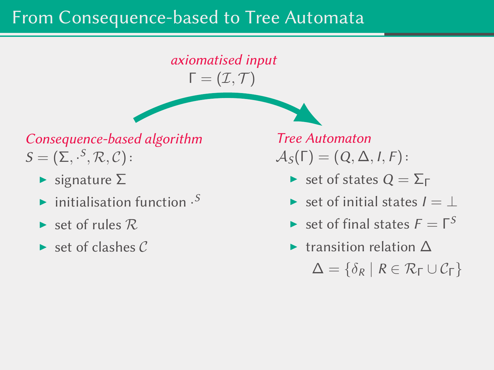### From Consequence-based to Tree Automata

axiomatised input  $\Gamma = (\mathcal{I}, \mathcal{T})$ 

Consequence-based algorithm  $\mathcal{S} = (\Sigma, \cdot^S, \mathcal{R}, \mathcal{C})$  :

- $\blacktriangleright$  signature  $\Sigma$
- initialisation function  $\cdot^{S}$
- $\blacktriangleright$  set of rules  $\mathcal{R}$ .
- $\triangleright$  set of clashes C

Tree Automaton  $\mathcal{A}_{S}(\Gamma) = (Q, \Delta, I, F)$ :

- $\triangleright$  set of states  $Q = \Sigma_{\Gamma}$
- $\triangleright$  set of initial states  $I = \perp$
- $\blacktriangleright$  set of final states  $F = \Gamma^S$
- $\triangleright$  transition relation  $\Delta$

 $\Delta = \{\delta_R \mid R \in \mathcal{R}_{\Gamma} \cup \mathcal{C}_{\Gamma}\}\$